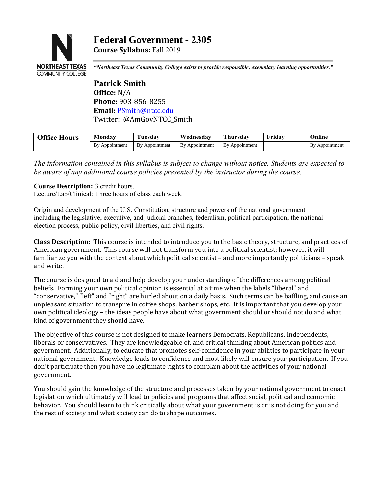

*"Northeast Texas Community College exists to provide responsible, exemplary learning opportunities."*

**Patrick Smith Office:** N/A **Phone:** 903-856-8255 **Email:** [PSmith@ntcc.edu](mailto:PSmith@ntcc.edu) Twitter: @AmGovNTCC\_Smith

| <b>Office Hours</b> | Monday         | <b>Tuesdav</b> | Wednesday      | Thursday       | Fridav | Online         |
|---------------------|----------------|----------------|----------------|----------------|--------|----------------|
|                     | By Appointment | By Appointment | By Appointment | By Appointment |        | By Appointment |
|                     |                |                |                |                |        |                |

*The information contained in this syllabus is subject to change without notice. Students are expected to be aware of any additional course policies presented by the instructor during the course.*

#### **Course Description:** 3 credit hours.

Lecture/Lab/Clinical: Three hours of class each week.

Origin and development of the U.S. Constitution, structure and powers of the national government including the legislative, executive, and judicial branches, federalism, political participation, the national election process, public policy, civil liberties, and civil rights.

**Class Description:** This course is intended to introduce you to the basic theory, structure, and practices of American government. This course will not transform you into a political scientist; however, it will familiarize you with the context about which political scientist – and more importantly politicians – speak and write.

The course is designed to aid and help develop your understanding of the differences among political beliefs. Forming your own political opinion is essential at a time when the labels "liberal" and "conservative," "left" and "right" are hurled about on a daily basis. Such terms can be baffling, and cause an unpleasant situation to transpire in coffee shops, barber shops, etc. It is important that you develop your own political ideology – the ideas people have about what government should or should not do and what kind of government they should have.

The objective of this course is not designed to make learners Democrats, Republicans, Independents, liberals or conservatives. They are knowledgeable of, and critical thinking about American politics and government. Additionally, to educate that promotes self-confidence in your abilities to participate in your national government. Knowledge leads to confidence and most likely will ensure your participation. If you don't participate then you have no legitimate rights to complain about the activities of your national government.

You should gain the knowledge of the structure and processes taken by your national government to enact legislation which ultimately will lead to policies and programs that affect social, political and economic behavior. You should learn to think critically about what your government is or is not doing for you and the rest of society and what society can do to shape outcomes.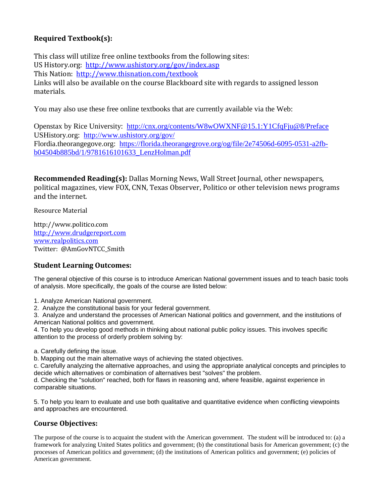# **Required Textbook(s):**

This class will utilize free online textbooks from the following sites: US History.org: <http://www.ushistory.org/gov/index.asp> This Nation: <http://www.thisnation.com/textbook> Links will also be available on the course Blackboard site with regards to assigned lesson materials.

You may also use these free online textbooks that are currently available via the Web:

Openstax by Rice University: <http://cnx.org/contents/W8wOWXNF@15.1:Y1CfqFju@8/Preface> USHistory.org: <http://www.ushistory.org/gov/> Flordia.theorangegove.org: [https://florida.theorangegrove.org/og/file/2e74506d-6095-0531-a2fb](https://florida.theorangegrove.org/og/file/2e74506d-6095-0531-a2fb-b04504b885bd/1/9781616101633_LenzHolman.pdf)[b04504b885bd/1/9781616101633\\_LenzHolman.pdf](https://florida.theorangegrove.org/og/file/2e74506d-6095-0531-a2fb-b04504b885bd/1/9781616101633_LenzHolman.pdf)

**Recommended Reading(s):** Dallas Morning News, Wall Street Journal, other newspapers, political magazines, view FOX, CNN, Texas Observer, Politico or other television news programs and the internet.

Resource Material

http://www.politico.com [http://www.drudgereport.com](http://www.drudgereport.com/) [www.realpolitics.com](http://www.realpolitics.com/) Twitter: @AmGovNTCC\_Smith

## **Student Learning Outcomes:**

The general objective of this course is to introduce American National government issues and to teach basic tools of analysis. More specifically, the goals of the course are listed below:

1. Analyze American National government.

2. Analyze the constitutional basis for your federal government.

3. Analyze and understand the processes of American National politics and government, and the institutions of American National politics and government.

4. To help you develop good methods in thinking about national public policy issues. This involves specific attention to the process of orderly problem solving by:

a. Carefully defining the issue.

b. Mapping out the main alternative ways of achieving the stated objectives.

c. Carefully analyzing the alternative approaches, and using the appropriate analytical concepts and principles to decide which alternatives or combination of alternatives best "solves" the problem.

d. Checking the "solution" reached, both for flaws in reasoning and, where feasible, against experience in comparable situations.

5. To help you learn to evaluate and use both qualitative and quantitative evidence when conflicting viewpoints and approaches are encountered.

## **Course Objectives:**

The purpose of the course is to acquaint the student with the American government. The student will be introduced to: (a) a framework for analyzing United States politics and government; (b) the constitutional basis for American government; (c) the processes of American politics and government; (d) the institutions of American politics and government; (e) policies of American government.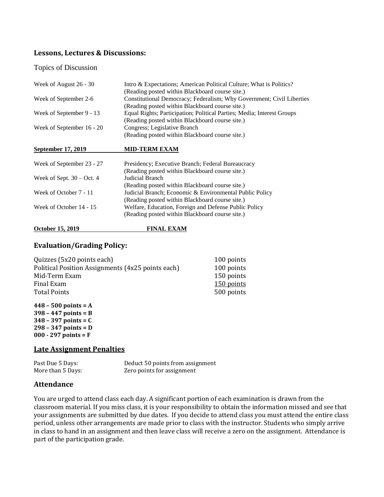## **Lessons, Lectures & Discussions:**

Topics of Discussion

| Week of August 26 - 30      | Intro & Expectations; American Political Culture; What is Politics?    |  |  |
|-----------------------------|------------------------------------------------------------------------|--|--|
|                             | (Reading posted within Blackboard course site.)                        |  |  |
| Week of September 2-6       | Constitutional Democracy; Federalism; Why Government; Civil Liberties  |  |  |
|                             | (Reading posted within Blackboard course site.)                        |  |  |
| Week of September 9 - 13    | Equal Rights; Participation; Political Parties; Media; Interest Groups |  |  |
|                             | (Reading posted within Blackboard course site.)                        |  |  |
| Week of September 16 - 20   | Congress; Legislative Branch                                           |  |  |
|                             | (Reading posted within Blackboard course site.)                        |  |  |
| September 17, 2019          | <b>MID-TERM EXAM</b>                                                   |  |  |
| Week of September 23 - 27   | Presidency; Executive Branch; Federal Bureaucracy                      |  |  |
|                             | (Reading posted within Blackboard course site.)                        |  |  |
| Week of Sept. $30 - Oct. 4$ | Judicial Branch                                                        |  |  |
|                             | (Reading posted within Blackboard course site.)                        |  |  |
| Week of October 7 - 11      | Judicial Branch; Economic & Environmental Public Policy                |  |  |
|                             | (Reading posted within Blackboard course site.)                        |  |  |
| Week of October 14 - 15     | Welfare, Education, Foreign and Defense Public Policy                  |  |  |
|                             | (Reading posted within Blackboard course site.)                        |  |  |
| <b>October 15, 2019</b>     | <b>FINAL EXAM</b>                                                      |  |  |

#### **Evaluation/Grading Policy:**

| Quizzes (5x20 points each)                        | 100 points |
|---------------------------------------------------|------------|
| Political Position Assignments (4x25 points each) | 100 points |
| Mid-Term Exam                                     | 150 points |
| Final Exam                                        | 150 points |
| <b>Total Points</b>                               | 500 points |
|                                                   |            |

**– 500 points = A – 447 points = B – 397 points = C – 347 points = D 000 - 297 points = F**

### **Late Assignment Penalties**

Past Due 5 Days:<br>
More than 5 Days:<br>
More than 5 Days:<br>
Zero points for assignment Zero points for assignment

### **Attendance**

You are urged to attend class each day. A significant portion of each examination is drawn from the classroom material. If you miss class, it is your responsibility to obtain the information missed and see that your assignments are submitted by due dates. If you decide to attend class you must attend the entire class period, unless other arrangements are made prior to class with the instructor. Students who simply arrive in class to hand in an assignment and then leave class will receive a zero on the assignment. Attendance is part of the participation grade.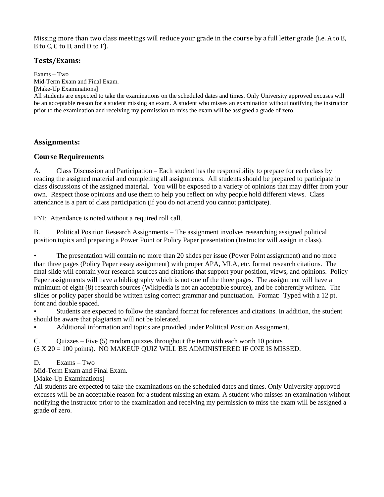Missing more than two class meetings will reduce your grade in the course by a full letter grade (i.e. A to B, B to C, C to D, and D to F).

## **Tests/Exams:**

Exams – Two Mid-Term Exam and Final Exam. [Make-Up Examinations]

All students are expected to take the examinations on the scheduled dates and times. Only University approved excuses will be an acceptable reason for a student missing an exam. A student who misses an examination without notifying the instructor prior to the examination and receiving my permission to miss the exam will be assigned a grade of zero.

### **Assignments:**

### **Course Requirements**

A. Class Discussion and Participation – Each student has the responsibility to prepare for each class by reading the assigned material and completing all assignments. All students should be prepared to participate in class discussions of the assigned material. You will be exposed to a variety of opinions that may differ from your own. Respect those opinions and use them to help you reflect on why people hold different views. Class attendance is a part of class participation (if you do not attend you cannot participate).

FYI: Attendance is noted without a required roll call.

B. Political Position Research Assignments – The assignment involves researching assigned political position topics and preparing a Power Point or Policy Paper presentation (Instructor will assign in class).

The presentation will contain no more than 20 slides per issue (Power Point assignment) and no more than three pages (Policy Paper essay assignment) with proper APA, MLA, etc. format research citations. The final slide will contain your research sources and citations that support your position, views, and opinions. Policy Paper assignments will have a bibliography which is not one of the three pages. The assignment will have a minimum of eight (8) research sources (Wikipedia is not an acceptable source), and be coherently written. The slides or policy paper should be written using correct grammar and punctuation. Format: Typed with a 12 pt. font and double spaced.

• Students are expected to follow the standard format for references and citations. In addition, the student should be aware that plagiarism will not be tolerated.

• Additional information and topics are provided under Political Position Assignment.

C. Quizzes – Five  $(5)$  random quizzes throughout the term with each worth 10 points (5 X 20 = 100 points). NO MAKEUP QUIZ WILL BE ADMINISTERED IF ONE IS MISSED.

D. Exams – Two

Mid-Term Exam and Final Exam.

[Make-Up Examinations]

All students are expected to take the examinations on the scheduled dates and times. Only University approved excuses will be an acceptable reason for a student missing an exam. A student who misses an examination without notifying the instructor prior to the examination and receiving my permission to miss the exam will be assigned a grade of zero.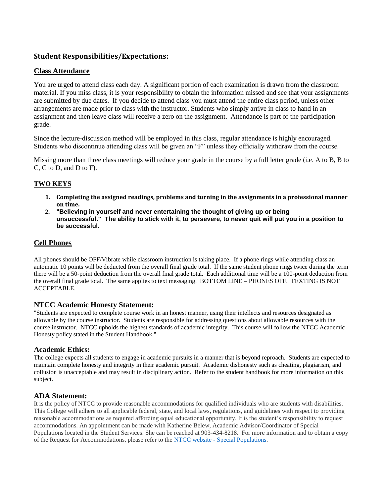### **Student Responsibilities/Expectations:**

### **Class Attendance**

You are urged to attend class each day. A significant portion of each examination is drawn from the classroom material. If you miss class, it is your responsibility to obtain the information missed and see that your assignments are submitted by due dates. If you decide to attend class you must attend the entire class period, unless other arrangements are made prior to class with the instructor. Students who simply arrive in class to hand in an assignment and then leave class will receive a zero on the assignment. Attendance is part of the participation grade.

Since the lecture-discussion method will be employed in this class, regular attendance is highly encouraged. Students who discontinue attending class will be given an "F" unless they officially withdraw from the course.

Missing more than three class meetings will reduce your grade in the course by a full letter grade (i.e. A to B, B to C, C to D, and D to F).

#### **TWO KEYS**

- **1. Completing the assigned readings, problems and turning in the assignments in a professional manner on time.**
- **2. "Believing in yourself and never entertaining the thought of giving up or being unsuccessful." The ability to stick with it, to persevere, to never quit will put you in a position to be successful.**

#### **Cell Phones**

All phones should be OFF/Vibrate while classroom instruction is taking place. If a phone rings while attending class an automatic 10 points will be deducted from the overall final grade total. If the same student phone rings twice during the term there will be a 50-point deduction from the overall final grade total. Each additional time will be a 100-point deduction from the overall final grade total. The same applies to text messaging. BOTTOM LINE – PHONES OFF. TEXTING IS NOT ACCEPTABLE.

#### **NTCC Academic Honesty Statement:**

"Students are expected to complete course work in an honest manner, using their intellects and resources designated as allowable by the course instructor. Students are responsible for addressing questions about allowable resources with the course instructor. NTCC upholds the highest standards of academic integrity. This course will follow the NTCC Academic Honesty policy stated in the Student Handbook."

#### **Academic Ethics:**

The college expects all students to engage in academic pursuits in a manner that is beyond reproach. Students are expected to maintain complete honesty and integrity in their academic pursuit. Academic dishonesty such as cheating, plagiarism, and collusion is unacceptable and may result in disciplinary action. Refer to the student handbook for more information on this subject.

#### **ADA Statement:**

It is the policy of NTCC to provide reasonable accommodations for qualified individuals who are students with disabilities. This College will adhere to all applicable federal, state, and local laws, regulations, and guidelines with respect to providing reasonable accommodations as required affording equal educational opportunity. It is the student's responsibility to request accommodations. An appointment can be made with Katherine Belew, Academic Advisor/Coordinator of Special Populations located in the Student Services. She can be reached at 903-434-8218. For more information and to obtain a copy of the Request for Accommodations, please refer to the NTCC website - [Special Populations.](http://www.ntcc.edu/index.php?module=Pagesetter&func=viewpub&tid=111&pid=1)